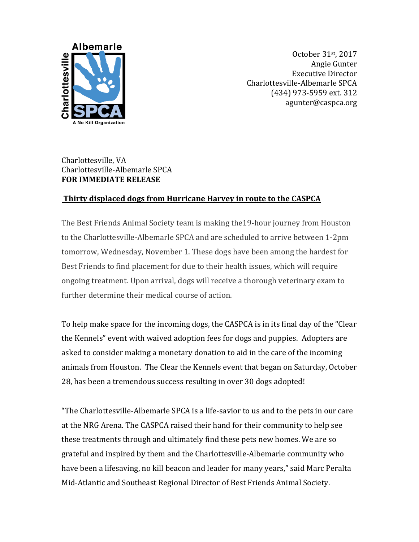

October 31st, 2017 Angie Gunter Executive Director Charlottesville-Albemarle SPCA (434) 973-5959 ext. 312 agunter@caspca.org

## Charlottesville, VA Charlottesville-Albemarle SPCA **FOR IMMEDIATE RELEASE**

## **Thirty displaced dogs from Hurricane Harvey in route to the CASPCA**

The Best Friends Animal Society team is making the19-hour journey from Houston to the Charlottesville-Albemarle SPCA and are scheduled to arrive between 1-2pm tomorrow, Wednesday, November 1. These dogs have been among the hardest for Best Friends to find placement for due to their health issues, which will require ongoing treatment. Upon arrival, dogs will receive a thorough veterinary exam to further determine their medical course of action.

To help make space for the incoming dogs, the CASPCA is in its final day of the "Clear the Kennels" event with waived adoption fees for dogs and puppies. Adopters are asked to consider making a monetary donation to aid in the care of the incoming animals from Houston. The Clear the Kennels event that began on Saturday, October 28, has been a tremendous success resulting in over 30 dogs adopted!

"The Charlottesville-Albemarle SPCA is a life-savior to us and to the pets in our care at the NRG Arena. The CASPCA raised their hand for their community to help see these treatments through and ultimately find these pets new homes. We are so grateful and inspired by them and the Charlottesville-Albemarle community who have been a lifesaving, no kill beacon and leader for many years," said Marc Peralta Mid-Atlantic and Southeast Regional Director of Best Friends Animal Society.